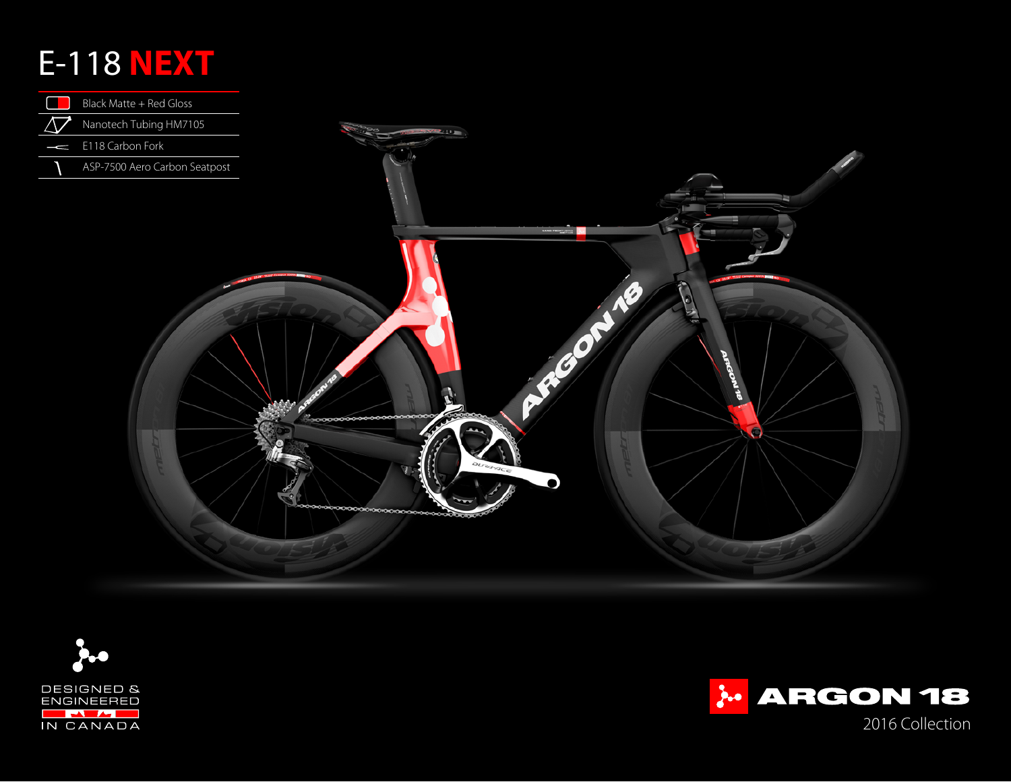## E-118 **NEXT**